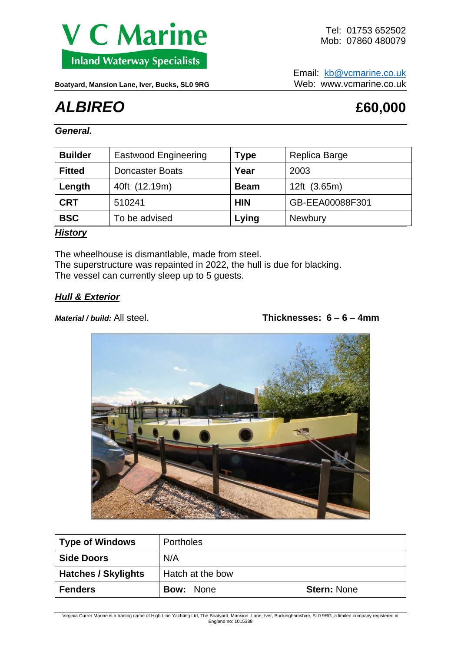

Email: [kb@vcmarine.co.uk](mailto:kb@vcmarine.co.uk) Boatyard, Mansion Lane, Iver, Bucks, SL0 9RG Web: WWW.vcmarine.co.uk

# *ALBIREO* **£60,000**

*General.*

| <b>Builder</b> | <b>Eastwood Engineering</b> | Type        | Replica Barge   |
|----------------|-----------------------------|-------------|-----------------|
| <b>Fitted</b>  | <b>Doncaster Boats</b>      | Year        | 2003            |
| Length         | 40ft (12.19m)               | <b>Beam</b> | 12ft (3.65m)    |
| <b>CRT</b>     | 510241                      | <b>HIN</b>  | GB-EEA00088F301 |
| <b>BSC</b>     | To be advised               | Lying       | <b>Newbury</b>  |

### *History*

The wheelhouse is dismantlable, made from steel. The superstructure was repainted in 2022, the hull is due for blacking. The vessel can currently sleep up to 5 guests.

#### *Hull & Exterior*

#### *Material / build:* All steel. **Thicknesses: 6 – 6 – 4mm**



| <b>Type of Windows</b>     | <b>Portholes</b> |                    |
|----------------------------|------------------|--------------------|
| <b>Side Doors</b>          | N/A              |                    |
| <b>Hatches / Skylights</b> | Hatch at the bow |                    |
| <b>Fenders</b>             | <b>Bow: None</b> | <b>Stern: None</b> |

Virginia Currer Marine is a trading name of High Line Yachting Ltd, The Boatyard, Mansion Lane, Iver, Buckinghamshire, SL0 9RG, a limited company registered in England no: 1015388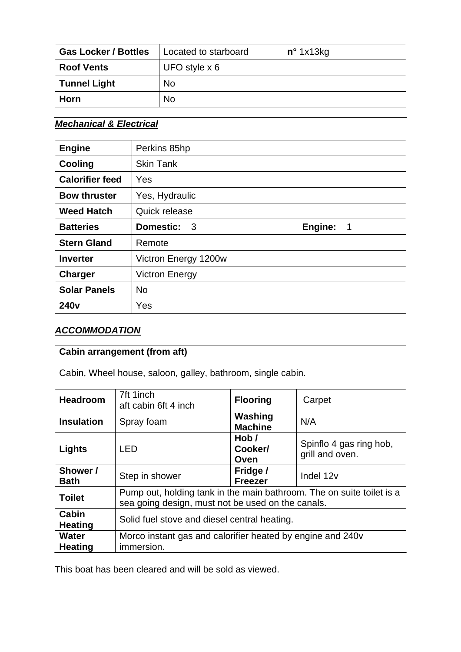| <b>Gas Locker / Bottles</b> | Located to starboard | $n^{\circ}$ 1x13kg |
|-----------------------------|----------------------|--------------------|
| <b>Roof Vents</b>           | UFO style $x 6$      |                    |
| <b>Tunnel Light</b>         | No                   |                    |
| Horn                        | No                   |                    |

## *Mechanical & Electrical*

| <b>Engine</b>          | Perkins 85hp                                |                                       |
|------------------------|---------------------------------------------|---------------------------------------|
| Cooling                | <b>Skin Tank</b>                            |                                       |
| <b>Calorifier feed</b> | Yes                                         |                                       |
| <b>Bow thruster</b>    | Yes, Hydraulic                              |                                       |
| <b>Weed Hatch</b>      | Quick release                               |                                       |
| <b>Batteries</b>       | <b>Domestic:</b><br>$\overline{\mathbf{3}}$ | Engine:<br>$\overline{\phantom{0}}$ 1 |
| <b>Stern Gland</b>     | Remote                                      |                                       |
| <b>Inverter</b>        | Victron Energy 1200w                        |                                       |
| Charger                | <b>Victron Energy</b>                       |                                       |
| <b>Solar Panels</b>    | <b>No</b>                                   |                                       |
| 240 <sub>v</sub>       | Yes                                         |                                       |

# *ACCOMMODATION*

| <b>Cabin arrangement (from aft)</b>                         |                                                                                                                            |                            |                                            |  |  |
|-------------------------------------------------------------|----------------------------------------------------------------------------------------------------------------------------|----------------------------|--------------------------------------------|--|--|
| Cabin, Wheel house, saloon, galley, bathroom, single cabin. |                                                                                                                            |                            |                                            |  |  |
| <b>Headroom</b>                                             | 7ft 1inch<br>aft cabin 6ft 4 inch                                                                                          | <b>Flooring</b>            | Carpet                                     |  |  |
| <b>Insulation</b>                                           | Spray foam                                                                                                                 | Washing<br><b>Machine</b>  | N/A                                        |  |  |
| Lights                                                      | <b>LED</b>                                                                                                                 | Hob/<br>Cooker/<br>Oven    | Spinflo 4 gas ring hob,<br>grill and oven. |  |  |
| Shower /<br><b>Bath</b>                                     | Step in shower                                                                                                             | Fridge /<br><b>Freezer</b> | Indel 12v                                  |  |  |
| <b>Toilet</b>                                               | Pump out, holding tank in the main bathroom. The on suite toilet is a<br>sea going design, must not be used on the canals. |                            |                                            |  |  |
| Cabin<br><b>Heating</b>                                     | Solid fuel stove and diesel central heating.                                                                               |                            |                                            |  |  |
| <b>Water</b><br><b>Heating</b>                              | Morco instant gas and calorifier heated by engine and 240v<br>immersion.                                                   |                            |                                            |  |  |

This boat has been cleared and will be sold as viewed.